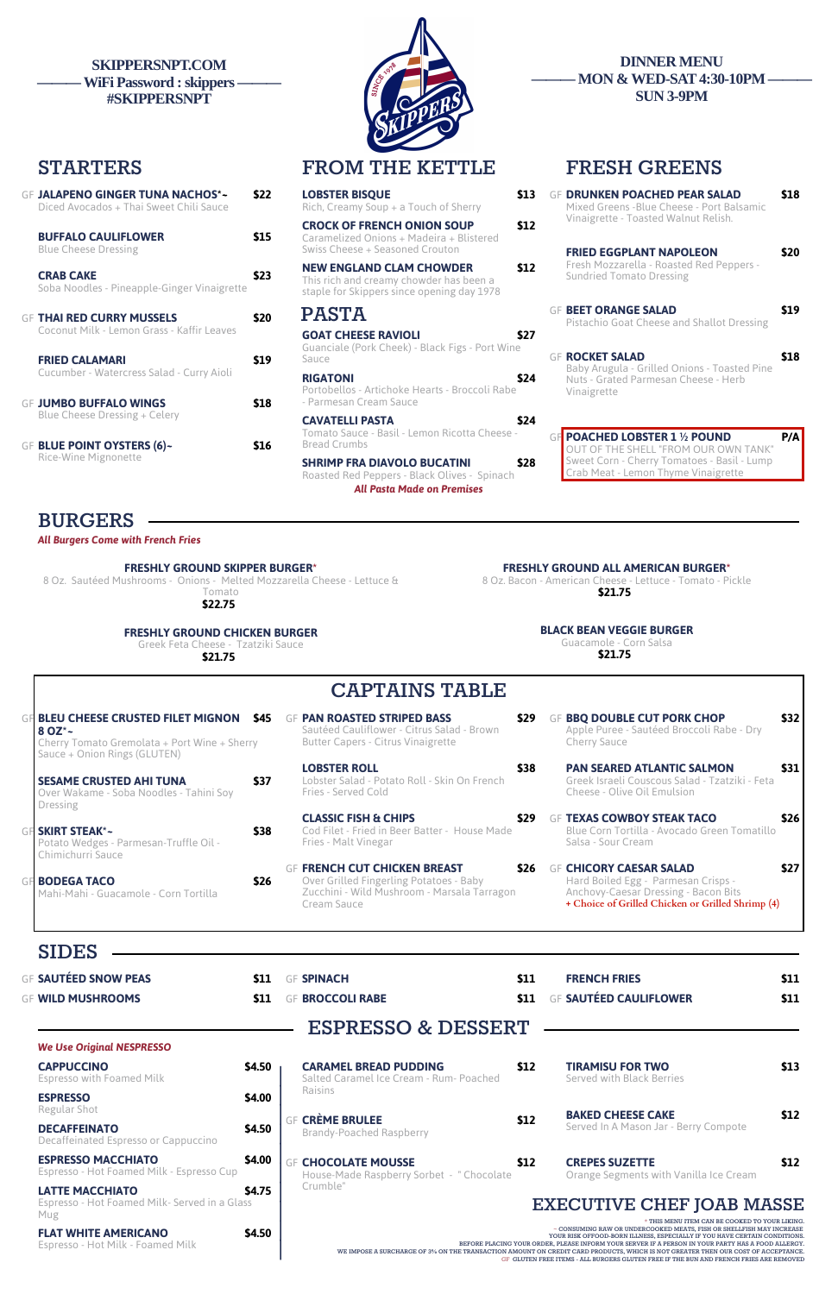**STARTERS FROM THE KETTLE FRESH GREENS**

# GF **JALAPENO GINGER TUNA NACHOS\*~ \$22**

| Diced Avocados + Thai Sweet Chili Sauce                                    |      | Rich, Creamy Soup $+$ a Touch of Sherry                                                                                          | Mixed Greens - Blue Cheese - Port Balsamic                                                          |
|----------------------------------------------------------------------------|------|----------------------------------------------------------------------------------------------------------------------------------|-----------------------------------------------------------------------------------------------------|
| <b>BUFFALO CAULIFLOWER</b><br><b>Blue Cheese Dressing</b>                  | \$15 | \$12<br><b>CROCK OF FRENCH ONION SOUP</b><br>Caramelized Onions + Madeira + Blistered<br>Swiss Cheese + Seasoned Crouton         | Vinaigrette - Toasted Walnut Relish.<br><b>FRIED EGGPLANT NAPOLEON</b>                              |
| <b>CRAB CAKE</b><br>Soba Noodles - Pineapple-Ginger Vinaigrette            | \$23 | \$12<br><b>NEW ENGLAND CLAM CHOWDER</b><br>This rich and creamy chowder has been a<br>staple for Skippers since opening day 1978 | Fresh Mozzarella - Roasted Red Peppers -<br><b>Sundried Tomato Dressing</b>                         |
| <b>GF THAI RED CURRY MUSSELS</b>                                           | \$20 | <b>PASTA</b>                                                                                                                     | <b>GF BEET ORANGE SALAD</b><br>Pistachio Goat Cheese and Shallot Dressing                           |
| Coconut Milk - Lemon Grass - Kaffir Leaves<br><b>FRIED CALAMARI</b>        | \$19 | <b>GOAT CHEESE RAVIOLI</b><br>\$27<br>Guanciale (Pork Cheek) - Black Figs - Port Wine<br>Sauce                                   | <b>GF ROCKET SALAD</b>                                                                              |
| Cucumber - Watercress Salad - Curry Aioli<br><b>GF JUMBO BUFFALO WINGS</b> | \$18 | <b>RIGATONI</b><br>\$24<br>Portobellos - Artichoke Hearts - Broccoli Rabe<br>- Parmesan Cream Sauce                              | Baby Arugula - Grilled Onions - Toasted Pine<br>Nuts - Grated Parmesan Cheese - Herb<br>Vinaigrette |
| Blue Cheese Dressing + Celery<br><b>GF BLUE POINT OYSTERS (6)~</b>         | \$16 | <b>CAVATELLI PASTA</b><br>\$24<br>Tomato Sauce - Basil - Lemon Ricotta Cheese -<br><b>Bread Crumbs</b>                           | GF POACHED LOBSTER 1 1/2 POUND                                                                      |
| <b>Rice-Wine Mignonette</b>                                                |      | ぐつの<br>CHOIMD EDA DIAVOLO DI ICATINI                                                                                             | OUT OF THE SHELL "FROM OUR OWN TANK<br>Sweet Corn - Cherry Tomatoes - Basil - Lumr                  |

| <b>LOBSTER BISQUE</b><br>\$13<br>Rich, Creamy Soup + a Touch of Sherry                                                           | <b>GF DRUNKEN POACHED PEAR SALAD</b><br>Mixed Greens - Blue Cheese - Port Balsamic                  | \$18 |
|----------------------------------------------------------------------------------------------------------------------------------|-----------------------------------------------------------------------------------------------------|------|
| \$12<br><b>CROCK OF FRENCH ONION SOUP</b><br>Caramelized Onions + Madeira + Blistered<br>Swiss Cheese + Seasoned Crouton         | Vinaigrette - Toasted Walnut Relish.<br><b>FRIED EGGPLANT NAPOLEON</b>                              | \$20 |
| <b>NEW ENGLAND CLAM CHOWDER</b><br>\$12<br>This rich and creamy chowder has been a<br>staple for Skippers since opening day 1978 | Fresh Mozzarella - Roasted Red Peppers -<br><b>Sundried Tomato Dressing</b>                         |      |
| PASTA                                                                                                                            | <b>GF BEET ORANGE SALAD</b><br>Pistachio Goat Cheese and Shallot Dressing                           | \$19 |
| <b>GOAT CHEESE RAVIOLI</b><br>\$27<br>Guanciale (Pork Cheek) - Black Figs - Port Wine<br>Sauce                                   | <b>GF ROCKET SALAD</b>                                                                              | \$18 |
| <b>RIGATONI</b><br>\$24<br>Portobellos - Artichoke Hearts - Broccoli Rabe<br>- Parmesan Cream Sauce                              | Baby Arugula - Grilled Onions - Toasted Pine<br>Nuts - Grated Parmesan Cheese - Herb<br>Vinaigrette |      |
| \$24<br>CAVATELLI PASTA                                                                                                          |                                                                                                     |      |
| Tomato Sauce - Basil - Lemon Ricotta Cheese -<br><b>Bread Crumbs</b>                                                             | <b>GF POACHED LOBSTER 1 1/2 POUND</b><br>OUT OF THE SHELL "FROM OUR OWN TANK"                       | P/A  |
| <b>SHRIMP FRA DIAVOLO BUCATINI</b><br>\$28<br>Roasted Red Peppers - Black Olives - Spinach                                       | Sweet Corn - Cherry Tomatoes - Basil - Lump<br>Crab Meat - Lemon Thyme Vinaigrette                  |      |

*All Pasta Made on Premises*

- **GF FRENCH CUT CHICKEN BREAST** Over Grilled Fingerling Potatoes - Baby Zucchini - Wild Mushroom - Marsala Tarragon Cream Sauce
- GF **BBQ DOUBLE CUT PORK CHOP \$32** Apple Puree - Sautéed Broccoli Rabe - Dry Cherry Sauce
	- **PAN SEARED ATLANTIC SALMON \$31** Greek Israeli Couscous Salad - Tzatziki - Feta Cheese - Olive Oil Emulsion
- GF **TEXAS COWBOY STEAK TACO \$26** Blue Corn Tortilla - Avocado Green Tomatillo Salsa - Sour Cream
- GF **CHICORY CAESAR SALAD \$27** Hard Boiled Egg - Parmesan Crisps - Anchovy-Caesar Dressing - Bacon Bits **+ Choice of Grilled Chicken or Grilled Shrimp (4)**

- 
- 

**BURGERS**

*All Burgers Come with French Fries*

### **FRESHLY GROUND SKIPPER BURGER\***

8 Oz. Sautéed Mushrooms - Onions - Melted Mozzarella Cheese - Lettuce & Tomato

**\$22.75**

**FRESHLY GROUND ALL AMERICAN BURGER\*** 8 Oz. Bacon - American Cheese - Lettuce - Tomato - Pickle

**\$21.75**

**FRESHLY GROUND CHICKEN BURGER**

Greek Feta Cheese - Tzatziki Sauce

**\$21.75**

**BLACK BEAN VEGGIE BURGER** Guacamole - Corn Salsa **\$21.75**

## **CAPTAINS TABLE**

- GF **PAN ROASTED STRIPED BASS \$29** Sautéed Cauliflower - Citrus Salad - Brown Butter Capers - Citrus Vinaigrette
	- **LOBSTER ROLL \$38** Lobster Salad - Potato Roll - Skin On French Fries - Served Cold

GF **BLEU CHEESE CRUSTED FILET MIGNON \$45 8 OZ\*~** Cherry Tomato Gremolata + Port Wine + Sherry Sauce + Onion Rings (GLUTEN) **SESAME CRUSTED AHI TUNA \$37** Over Wakame - Soba Noodles - Tahini Soy Dressing GF **SKIRT STEAK\*~ \$38** Potato Wedges - Parmesan-Truffle Oil - Chimichurri Sauce

| <b>JALAPENO GINGER TUNA NACHOS*~</b><br>Diced Avocados + Thai Sweet Chili Sauce | \$22 | <b>LOBSTER BISQUE</b><br>Rich, Creamy Soup + a Touch of Sherry                                                           | \$13 | <b>GF DRUNKEN POACHED PE</b><br>Mixed Greens - Blue Cheese    |
|---------------------------------------------------------------------------------|------|--------------------------------------------------------------------------------------------------------------------------|------|---------------------------------------------------------------|
| <b>BUFFALO CAULIFLOWER</b><br><b>Blue Cheese Dressing</b>                       | \$15 | <b>CROCK OF FRENCH ONION SOUP</b><br>Caramelized Onions + Madeira + Blistered<br>Swiss Cheese + Seasoned Crouton         | \$12 | Vinaigrette - Toasted Waln<br><b>FRIED EGGPLANT NAPO</b>      |
| <b>CRAB CAKE</b><br>Soba Noodles - Pineapple-Ginger Vinaigrette                 | \$23 | <b>NEW ENGLAND CLAM CHOWDER</b><br>This rich and creamy chowder has been a<br>staple for Skippers since opening day 1978 | \$12 | Fresh Mozzarella - Roasted<br><b>Sundried Tomato Dressing</b> |
| <b>THAI RED CURRY MUSSELS</b><br>Coconut Milk - Lemon Grass - Kaffir Leaves     | \$20 | <b>PASTA</b><br><b>GOAT CHEESE RAVIOLI</b>                                                                               | \$27 | <b>GF BEET ORANGE SALAD</b><br>Pistachio Goat Cheese and      |
| <b>FRIED CALAMARI</b>                                                           | \$19 | Guanciale (Pork Cheek) - Black Figs - Port Wine<br>Sauce                                                                 |      | <b>GF ROCKET SALAD</b><br>Baby Arugula - Grilled Onio         |
| Cucumber - Watercress Salad - Curry Aioli<br><b>JUMBO BUFFALO WINGS</b>         | \$18 | <b>RIGATONI</b><br>Portobellos - Artichoke Hearts - Broccoli Rabe<br>- Parmesan Cream Sauce                              | \$24 | Nuts - Grated Parmesan Ch<br>Vinaigrette                      |

**CLASSIC FISH & CHIPS \$29** Cod Filet - Fried in Beer Batter - House Made Fries - Malt Vinegar

GF **BODEGA TACO \$26** Mahi-Mahi - Guacamole - Corn Tortilla

| <b>SIDES</b>                                                                   |        |                                                                         |      |                                                                                                                                                                                                                                                                                                                                                                                                                                                                                                                                                     |      |
|--------------------------------------------------------------------------------|--------|-------------------------------------------------------------------------|------|-----------------------------------------------------------------------------------------------------------------------------------------------------------------------------------------------------------------------------------------------------------------------------------------------------------------------------------------------------------------------------------------------------------------------------------------------------------------------------------------------------------------------------------------------------|------|
| <b>GF SAUTÉED SNOW PEAS</b>                                                    | \$11   | <b>GF SPINACH</b>                                                       | \$11 | <b>FRENCH FRIES</b>                                                                                                                                                                                                                                                                                                                                                                                                                                                                                                                                 | \$11 |
| <b>GF WILD MUSHROOMS</b>                                                       | \$11   | <b>BROCCOLI RABE</b><br>GF                                              | \$11 | <b>SAUTÉED CAULIFLOWER</b>                                                                                                                                                                                                                                                                                                                                                                                                                                                                                                                          | \$11 |
|                                                                                |        | <b>ESPRESSO &amp; DESSERT</b>                                           |      |                                                                                                                                                                                                                                                                                                                                                                                                                                                                                                                                                     |      |
| <b>We Use Original NESPRESSO</b>                                               |        |                                                                         |      |                                                                                                                                                                                                                                                                                                                                                                                                                                                                                                                                                     |      |
| <b>CAPPUCCINO</b><br><b>Espresso with Foamed Milk</b>                          | \$4.50 | <b>CARAMEL BREAD PUDDING</b><br>Salted Caramel Ice Cream - Rum- Poached | \$12 | <b>TIRAMISU FOR TWO</b><br>Served with Black Berries                                                                                                                                                                                                                                                                                                                                                                                                                                                                                                | \$13 |
| <b>ESPRESSO</b>                                                                | \$4.00 | Raisins                                                                 |      |                                                                                                                                                                                                                                                                                                                                                                                                                                                                                                                                                     |      |
| Regular Shot<br><b>DECAFFEINATO</b><br>Decaffeinated Espresso or Cappuccino    | \$4.50 | <b>GF CRÈME BRULEE</b><br><b>Brandy-Poached Raspberry</b>               | \$12 | <b>BAKED CHEESE CAKE</b><br>Served In A Mason Jar - Berry Compote                                                                                                                                                                                                                                                                                                                                                                                                                                                                                   | \$12 |
| <b>ESPRESSO MACCHIATO</b><br>Espresso - Hot Foamed Milk - Espresso Cup         | \$4.00 | <b>GF CHOCOLATE MOUSSE</b><br>House-Made Raspberry Sorbet - "Chocolate  | \$12 | <b>CREPES SUZETTE</b><br>Orange Segments with Vanilla Ice Cream                                                                                                                                                                                                                                                                                                                                                                                                                                                                                     | \$12 |
| <b>LATTE MACCHIATO</b><br>Espresso - Hot Foamed Milk- Served in a Glass<br>Mug | \$4.75 | Crumble"                                                                |      | <b>EXECUTIVE CHEF JOAB MASSE</b>                                                                                                                                                                                                                                                                                                                                                                                                                                                                                                                    |      |
| <b>FLAT WHITE AMERICANO</b><br>Espresso - Hot Milk - Foamed Milk               | \$4.50 |                                                                         |      | $^\star$ THIS MENU ITEM CAN BE COOKED TO YOUR LIKING.<br>$\sim$ CONSUMING RAW OR UNDERCOOKED MEATS, FISH OR SHELLFISH MAY INCREASE<br>YOUR RISK OFFOOD-BORN ILLNESS, ESPECIALLY IF YOU HAVE CERTAIN CONDITIONS.<br>BEFORE PLACING YOUR ORDER. PLEASE INFORM YOUR SERVER IF A PERSON IN YOUR PARTY HAS A FOOD ALLERGY.<br>WE IMPOSE A SURCHARGE OF 3% ON THE TRANSACTION AMOUNT ON CREDIT CARD PRODUCTS, WHICH IS NOT GREATER THEN OUR COST OF ACCEPTANCE.<br>GF GLUTEN FREE ITEMS - ALL BURGERS GLUTEN FREE IF THE BUN AND FRENCH FRIES ARE REMOVED |      |

### **SKIPPERSNPT.COM - WiFi Password : skippers -#SKIPPERSNPT**



### **DINNER MENU MON & WED-SAT 4:30-10PM — SUN 3-9PM**